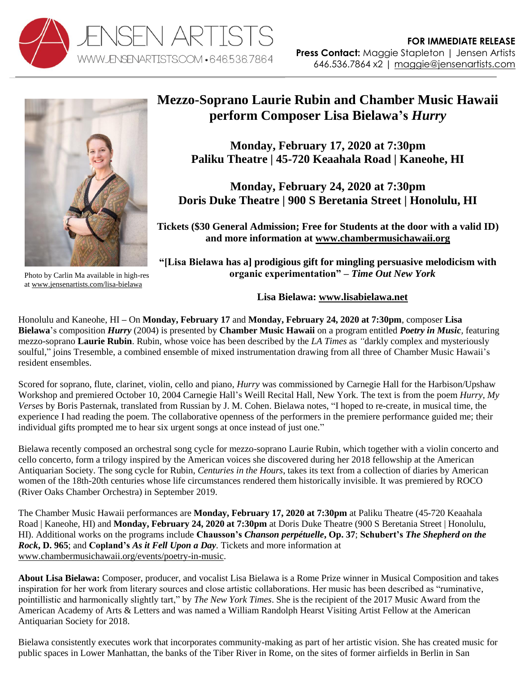



Photo by Carlin Ma available in high-res a[t www.jensenartists.com/lisa-bielawa](http://www.jensenartists.com/lisa-bielawa)

## **Mezzo-Soprano Laurie Rubin and Chamber Music Hawaii perform Composer Lisa Bielawa's** *Hurry*

**Monday, February 17, 2020 at 7:30pm Paliku Theatre | 45-720 Keaahala Road | Kaneohe, HI** 

**Monday, February 24, 2020 at 7:30pm Doris Duke Theatre | 900 S Beretania Street | Honolulu, HI**

**Tickets (\$30 General Admission; Free for Students at the door with a valid ID) and more information at [www.chambermusichawaii.org](http://www.chambermusichawaii.org/events/poetry-in-music)**

**"[Lisa Bielawa has a] prodigious gift for mingling persuasive melodicism with organic experimentation"** *– Time Out New York*

**Lisa Bielawa: [www.lisabielawa.net](http://www.lisabielawa.net/)**

Honolulu and Kaneohe, HI **–** On **Monday, February 17** and **Monday, February 24, 2020 at 7:30pm**, composer **Lisa Bielawa**'s composition *Hurry* (2004) is presented by **Chamber Music Hawaii** on a program entitled *Poetry in Music,* featuring mezzo-soprano **Laurie Rubin**. Rubin, whose voice has been described by the *LA Times* as *"*darkly complex and mysteriously soulful," joins Tresemble, a combined ensemble of mixed instrumentation drawing from all three of Chamber Music Hawaii's resident ensembles.

Scored for soprano, flute, clarinet, violin, cello and piano, *Hurry* was commissioned by Carnegie Hall for the Harbison/Upshaw Workshop and premiered October 10, 2004 Carnegie Hall's Weill Recital Hall, New York. The text is from the poem *Hurry, My Verses* by Boris Pasternak, translated from Russian by J. M. Cohen. Bielawa notes, "I hoped to re-create, in musical time, the experience I had reading the poem. The collaborative openness of the performers in the premiere performance guided me; their individual gifts prompted me to hear six urgent songs at once instead of just one."

Bielawa recently composed an orchestral song cycle for mezzo-soprano Laurie Rubin, which together with a violin concerto and cello concerto, form a trilogy inspired by the American voices she discovered during her 2018 fellowship at the American Antiquarian Society. The song cycle for Rubin, *Centuries in the Hours*, takes its text from a collection of diaries by American women of the 18th-20th centuries whose life circumstances rendered them historically invisible. It was premiered by ROCO (River Oaks Chamber Orchestra) in September 2019.

The Chamber Music Hawaii performances are **Monday, February 17, 2020 at 7:30pm** at Paliku Theatre (45-720 Keaahala Road | Kaneohe, HI) and **Monday, February 24, 2020 at 7:30pm** at Doris Duke Theatre (900 S Beretania Street | Honolulu, HI). Additional works on the programs include **Chausson's** *Chanson perpétuelle***, Op. 37**; **Schubert's** *The Shepherd on the Rock***, D. 965**; and **Copland's** *As it Fell Upon a Day.* Tickets and more information at [www.chambermusichawaii.org/events/poetry-in-music.](http://www.chambermusichawaii.org/events/poetry-in-music)

**About Lisa Bielawa:** Composer, producer, and vocalist Lisa Bielawa is a Rome Prize winner in Musical Composition and takes inspiration for her work from literary sources and close artistic collaborations. Her music has been described as "ruminative, pointillistic and harmonically slightly tart," by *The New York Times*. She is the recipient of the 2017 Music Award from the American Academy of Arts & Letters and was named a William Randolph Hearst Visiting Artist Fellow at the American Antiquarian Society for 2018.

Bielawa consistently executes work that incorporates community-making as part of her artistic vision. She has created music for public spaces in Lower Manhattan, the banks of the Tiber River in Rome, on the sites of former airfields in Berlin in San